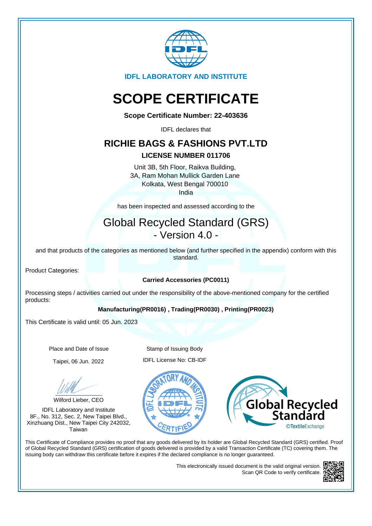

**IDFL LABORATORY AND INSTITUTE**

# **SCOPE CERTIFICATE**

**Scope Certificate Number: 22-403636**

IDFL declares that

### **RICHIE BAGS & FASHIONS PVT.LTD**

#### **LICENSE NUMBER 011706**

Unit 3B, 5th Floor, Raikva Building, 3A, Ram Mohan Mullick Garden Lane Kolkata, West Bengal 700010 India

has been inspected and assessed according to the

## Global Recycled Standard (GRS) - Version 4.0 -

and that products of the categories as mentioned below (and further specified in the appendix) conform with this standard.

Product Categories:

#### **Carried Accessories (PC0011)**

Processing steps / activities carried out under the responsibility of the above-mentioned company for the certified products:

#### **Manufacturing(PR0016) , Trading(PR0030) , Printing(PR0023)**

This Certificate is valid until: 05 Jun. 2023

Wilford Lieber, CEO

IDFL Laboratory and Institute 8F., No. 312, Sec. 2, New Taipei Blvd., Xinzhuang Dist., New Taipei City 242032, Taiwan

Place and Date of Issue Stamp of Issuing Body Taipei, 06 Jun. 2022 IDFL License No: CB-IDF





This Certificate of Compliance provides no proof that any goods delivered by its holder are Global Recycled Standard (GRS) certified. Proof of Global Recycled Standard (GRS) certification of goods delivered is provided by a valid Transaction Certificate (TC) covering them. The issuing body can withdraw this certificate before it expires if the declared compliance is no longer guaranteed.

> This electronically issued document is the valid original version. Scan QR Code to verify certificate.

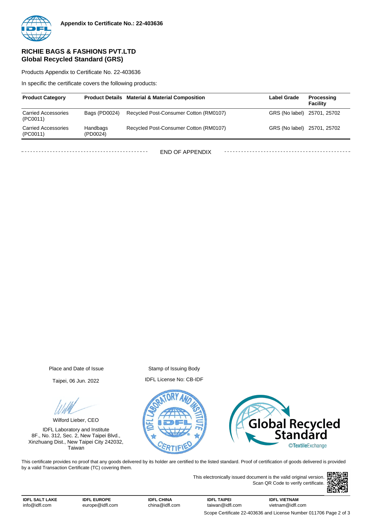

#### **RICHIE BAGS & FASHIONS PVT.LTD Global Recycled Standard (GRS)**

Products Appendix to Certificate No. 22-403636

In specific the certificate covers the following products:

| <b>Product Category</b>                |                      | <b>Product Details Material &amp; Material Composition</b> | <b>Label Grade</b>          | Processing<br>Facility |
|----------------------------------------|----------------------|------------------------------------------------------------|-----------------------------|------------------------|
| <b>Carried Accessories</b><br>(PC0011) | Bags (PD0024)        | Recycled Post-Consumer Cotton (RM0107)                     | GRS (No label) 25701, 25702 |                        |
| <b>Carried Accessories</b><br>(PC0011) | Handbags<br>(PD0024) | Recycled Post-Consumer Cotton (RM0107)                     | GRS (No label) 25701, 25702 |                        |
|                                        |                      | END OF APPENDIX                                            |                             |                        |

Place and Date of Issue Stamp of Issuing Body

Taipei, 06 Jun. 2022 IDFL License No: CB-IDF

Wilford Lieber, CEO

IDFL Laboratory and Institute 8F., No. 312, Sec. 2, New Taipei Blvd., Xinzhuang Dist., New Taipei City 242032, Taiwan





This certificate provides no proof that any goods delivered by its holder are certified to the listed standard. Proof of certification of goods delivered is provided by a valid Transaction Certificate (TC) covering them.

> This electronically issued document is the valid original version. Scan QR Code to verify certificate.



**IDFL CHINA** china@idfl.com

**IDFL TAIPEI** taiwan@idfl.com **IDFL VIETNAM** vietnam@idfl.com Scope Certificate 22-403636 and License Number 011706 Page 2 of 3